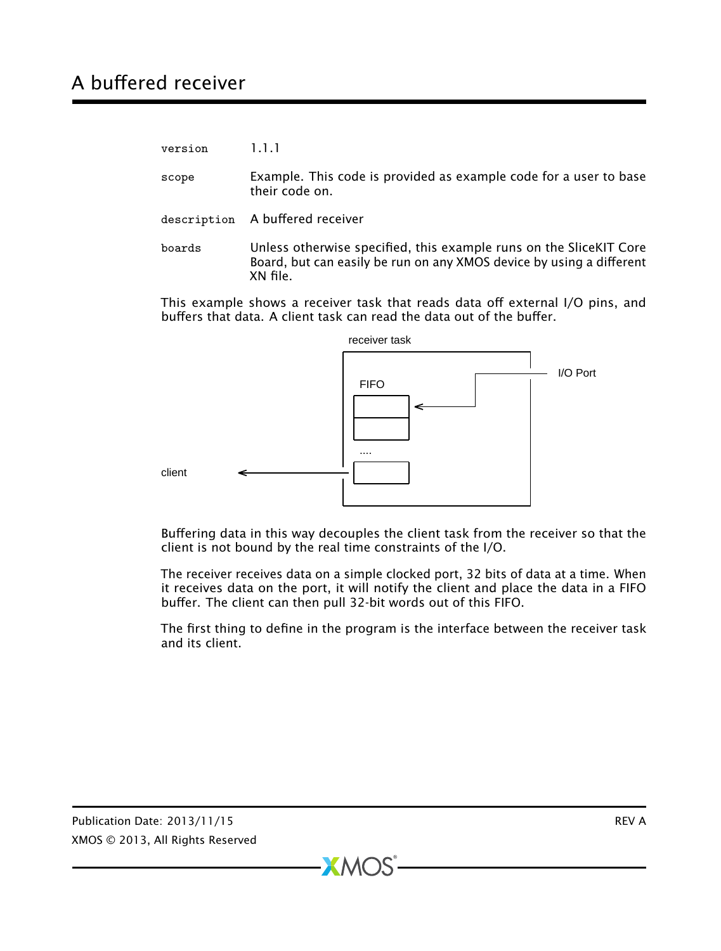version 1.1.1 scope Example. This code is provided as example code for a user to base their code on. description A buffered receiver boards Unless otherwise specified, this example runs on the SliceKIT Core Board, but can easily be run on any XMOS device by using a different XN file.

This example shows a receiver task that reads data off external I/O pins, and buffers that data. A client task can read the data out of the buffer.



Buffering data in this way decouples the client task from the receiver so that the client is not bound by the real time constraints of the I/O.

The receiver receives data on a simple clocked port, 32 bits of data at a time. When it receives data on the port, it will notify the client and place the data in a FIFO buffer. The client can then pull 32-bit words out of this FIFO.

The first thing to define in the program is the interface between the receiver task and its client.

 $XMOS$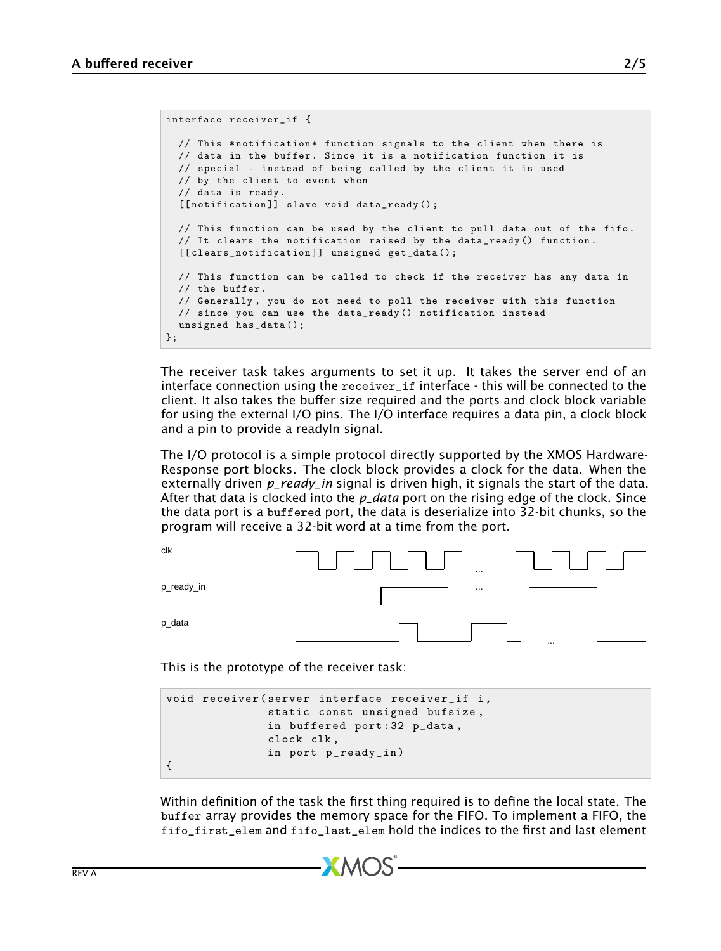```
interface receiver_if {
  // This *notification* function signals to the client when there is
  // data in the buffer. Since it is a notification function it is
  // special - instead of being called by the client it is used
  // by the client to event when
  // data is ready .
  [[notification]] slave void data_ready();
  // This function can be used by the client to pull data out of the fifo.
  // It clears the notification raised by the data_ready () function .
  [[ clears_notification]] unsigned get_data();
  // This function can be called to check if the receiver has any data in
  // the buffer .
  // Generally , you do not need to poll the receiver with this function
 // since you can use the data_ready () notification instead
 unsigned has_data () ;
};
```
The receiver task takes arguments to set it up. It takes the server end of an interface connection using the receiver if interface - this will be connected to the client. It also takes the buffer size required and the ports and clock block variable for using the external I/O pins. The I/O interface requires a data pin, a clock block and a pin to provide a readyIn signal.

The I/O protocol is a simple protocol directly supported by the XMOS Hardware-Response port blocks. The clock block provides a clock for the data. When the externally driven *p\_ready\_in* signal is driven high, it signals the start of the data. After that data is clocked into the *p\_data* port on the rising edge of the clock. Since the data port is a buffered port, the data is deserialize into 32-bit chunks, so the program will receive a 32-bit word at a time from the port.



This is the prototype of the receiver task:

```
void receiver ( server interface receiver_if i ,
               static const unsigned bufsize ,
               in buffered port :32 p_data ,
               clock clk ,
               in port p_ready_in )
{
```
Within definition of the task the first thing required is to define the local state. The buffer array provides the memory space for the FIFO. To implement a FIFO, the fifo\_first\_elem and fifo\_last\_elem hold the indices to the first and last element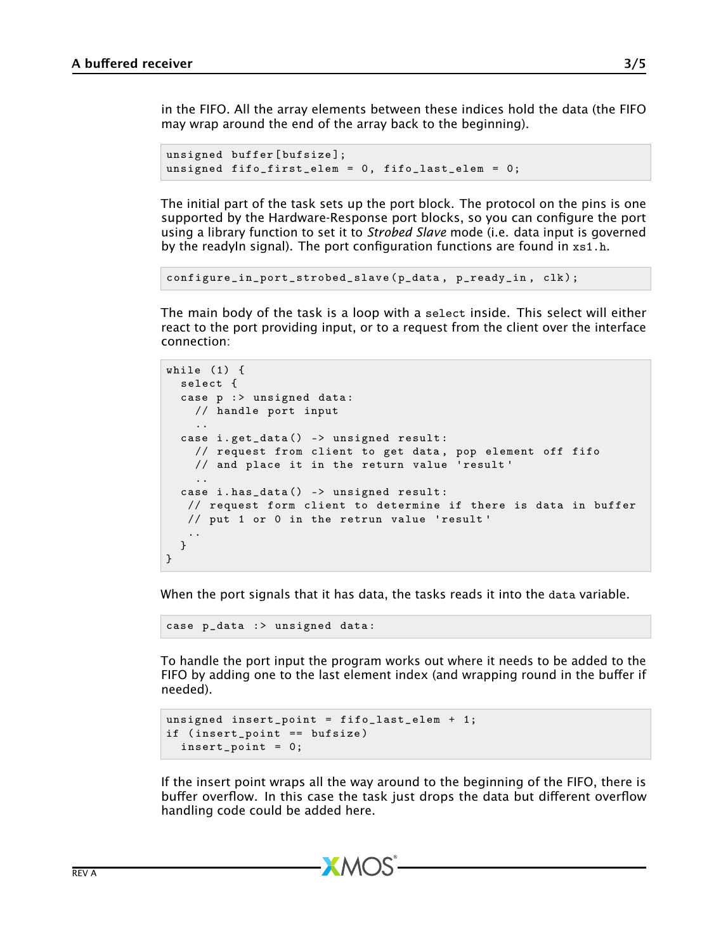in the FIFO. All the array elements between these indices hold the data (the FIFO may wrap around the end of the array back to the beginning).

```
unsigned buffer [bufsize];
unsigned fifo_first_elem = 0, fifo_last_elem = 0;
```
The initial part of the task sets up the port block. The protocol on the pins is one supported by the Hardware-Response port blocks, so you can configure the port using a library function to set it to *Strobed Slave* mode (i.e. data input is governed by the readyIn signal). The port configuration functions are found in  $x \le 1$ .h.

```
configure_in_port_strobed_slave ( p_data , p_ready_in , clk );
```
The main body of the task is a loop with a select inside. This select will either react to the port providing input, or to a request from the client over the interface connection:

```
while (1) {
  select {
  case p : > unsigned data:
    // handle port input
    ..
  case i. get_data () -> unsigned result :
    // request from client to get data , pop element off fifo
    // and place it in the return value 'result '
    ..
  case i. has_data () -> unsigned result :
   // request form client to determine if there is data in buffer
  // put 1 or 0 in the retrun value 'result '
   ..
 }
}
```
When the port signals that it has data, the tasks reads it into the data variable.

case p\_data :> unsigned data:

To handle the port input the program works out where it needs to be added to the FIFO by adding one to the last element index (and wrapping round in the buffer if needed).

```
unsigned insert_point = fifo_last_elem + 1;
if ( insert_point == bufsize )
  insert_point = 0;
```
If the insert point wraps all the way around to the beginning of the FIFO, there is buffer overflow. In this case the task just drops the data but different overflow handling code could be added here.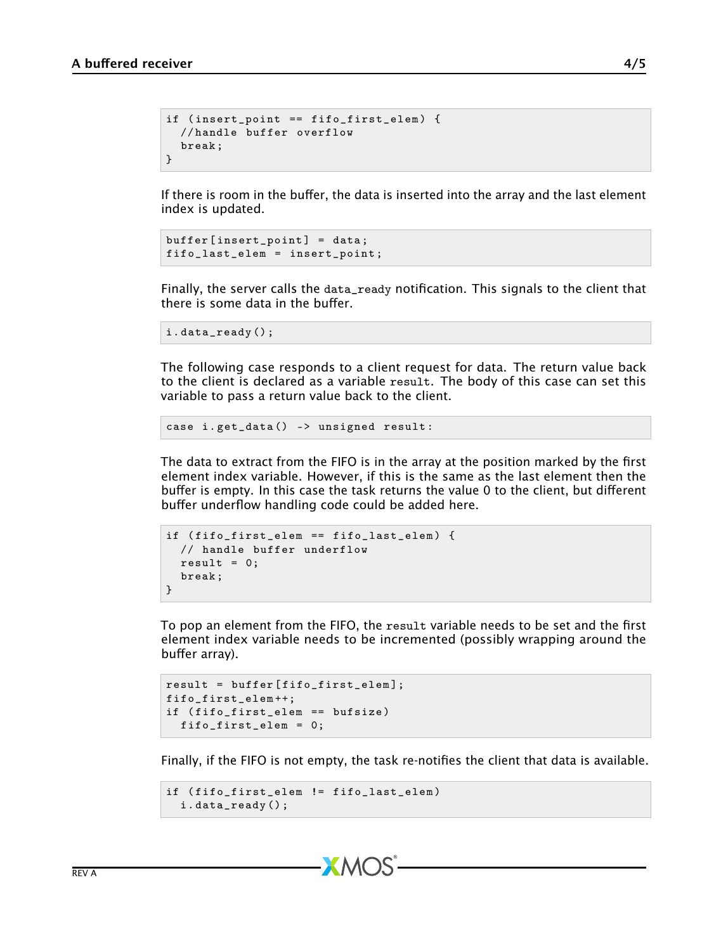```
if ( insert_point == fifo_first_elem ) {
  // handle buffer overflow
  break ;
}
```
If there is room in the buffer, the data is inserted into the array and the last element index is updated.

```
buffer [insert\_point] = data;fifo_last_elem = insert_point ;
```
Finally, the server calls the data\_ready notification. This signals to the client that there is some data in the buffer.

```
i. data_ready () ;
```
The following case responds to a client request for data. The return value back to the client is declared as a variable result. The body of this case can set this variable to pass a return value back to the client.

```
case i . get_data () -> unsigned result :
```
The data to extract from the FIFO is in the array at the position marked by the first element index variable. However, if this is the same as the last element then the buffer is empty. In this case the task returns the value 0 to the client, but different buffer underflow handling code could be added here.

```
if ( fifo_first_elem == fifo_last_elem ) {
  // handle buffer underflow
  result = 0;
  break ;
}
```
To pop an element from the FIFO, the result variable needs to be set and the first element index variable needs to be incremented (possibly wrapping around the buffer array).

```
result = buffer [ fifo_first_elem ];
fifo_first_elem ++;
if ( fifo_first_elem == bufsize )
  fifo_first_elem = 0;
```
Finally, if the FIFO is not empty, the task re-notifies the client that data is available.

```
if ( fifo_first_elem != fifo_last_elem )
  i. data_ready () ;
```